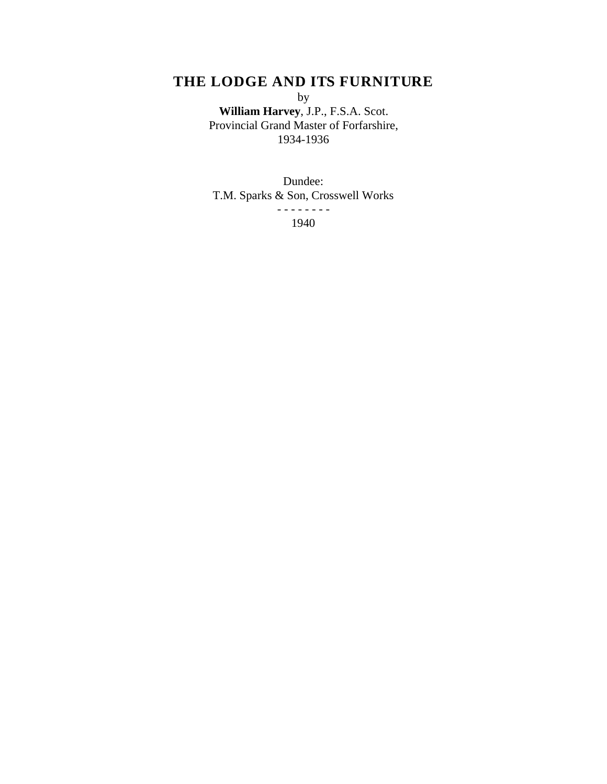# **THE LODGE AND ITS FURNITURE**

by

**William Harvey**, J.P., F.S.A. Scot. Provincial Grand Master of Forfarshire, 1934-1936

Dundee: T.M. Sparks & Son, Crosswell Works - - - - - - - -

1940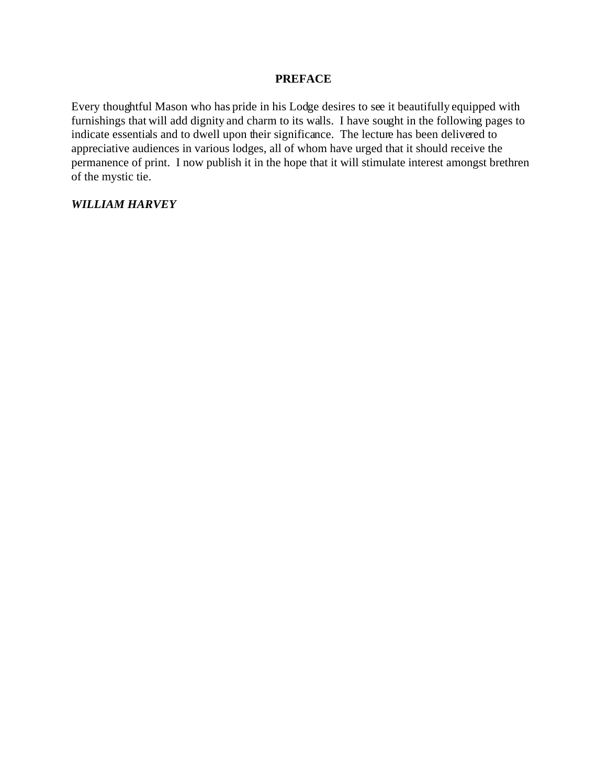### **PREFACE**

Every thoughtful Mason who has pride in his Lodge desires to see it beautifully equipped with furnishings that will add dignity and charm to its walls. I have sought in the following pages to indicate essentials and to dwell upon their significance. The lecture has been delivered to appreciative audiences in various lodges, all of whom have urged that it should receive the permanence of print. I now publish it in the hope that it will stimulate interest amongst brethren of the mystic tie.

## *WILLIAM HARVEY*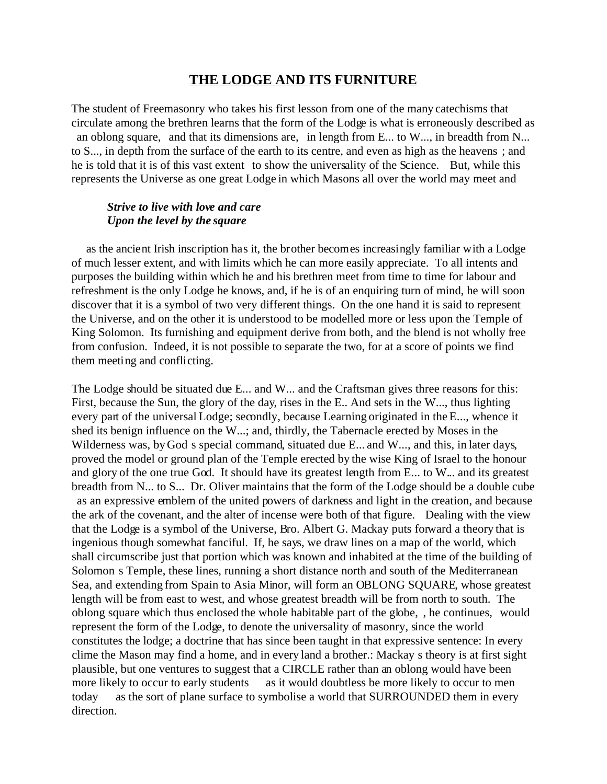## **THE LODGE AND ITS FURNITURE**

The student of Freemasonry who takes his first lesson from one of the many catechisms that circulate among the brethren learns that the form of the Lodge is what is erroneously described as an oblong square, and that its dimensions are, in length from E... to W..., in breadth from N... to S..., in depth from the surface of the earth to its centre, and even as high as the heavens ; and he is told that it is of this vast extent to show the universality of the Science. But, while this represents the Universe as one great Lodge in which Masons all over the world may meet and

### *Strive to live with love and care Upon the level by the square*

 as the ancient Irish inscription has it, the brother becomes increasingly familiar with a Lodge of much lesser extent, and with limits which he can more easily appreciate. To all intents and purposes the building within which he and his brethren meet from time to time for labour and refreshment is the only Lodge he knows, and, if he is of an enquiring turn of mind, he will soon discover that it is a symbol of two very different things. On the one hand it is said to represent the Universe, and on the other it is understood to be modelled more or less upon the Temple of King Solomon. Its furnishing and equipment derive from both, and the blend is not wholly free from confusion. Indeed, it is not possible to separate the two, for at a score of points we find them meeting and conflicting.

The Lodge should be situated due E... and W... and the Craftsman gives three reasons for this: First, because the Sun, the glory of the day, rises in the E.. And sets in the W..., thus lighting every part of the universal Lodge; secondly, because Learning originated in the E..., whence it shed its benign influence on the W...; and, thirdly, the Tabernacle erected by Moses in the Wilderness was, by God s special command, situated due E... and W..., and this, in later days, proved the model or ground plan of the Temple erected by the wise King of Israel to the honour and glory of the one true God. It should have its greatest length from E... to W... and its greatest breadth from N... to S... Dr. Oliver maintains that the form of the Lodge should be a double cube as an expressive emblem of the united powers of darkness and light in the creation, and because the ark of the covenant, and the alter of incense were both of that figure. Dealing with the view that the Lodge is a symbol of the Universe, Bro. Albert G. Mackay puts forward a theory that is ingenious though somewhat fanciful. If, he says, we draw lines on a map of the world, which shall circumscribe just that portion which was known and inhabited at the time of the building of Solomon s Temple, these lines, running a short distance north and south of the Mediterranean Sea, and extending from Spain to Asia Minor, will form an OBLONG SQUARE, whose greatest length will be from east to west, and whose greatest breadth will be from north to south. The oblong square which thus enclosed the whole habitable part of the globe, , he continues, would represent the form of the Lodge, to denote the universality of masonry, since the world constitutes the lodge; a doctrine that has since been taught in that expressive sentence: In every clime the Mason may find a home, and in every land a brother.: Mackay s theory is at first sight plausible, but one ventures to suggest that a CIRCLE rather than an oblong would have been more likely to occur to early students as it would doubtless be more likely to occur to men today as the sort of plane surface to symbolise a world that SURROUNDED them in every direction.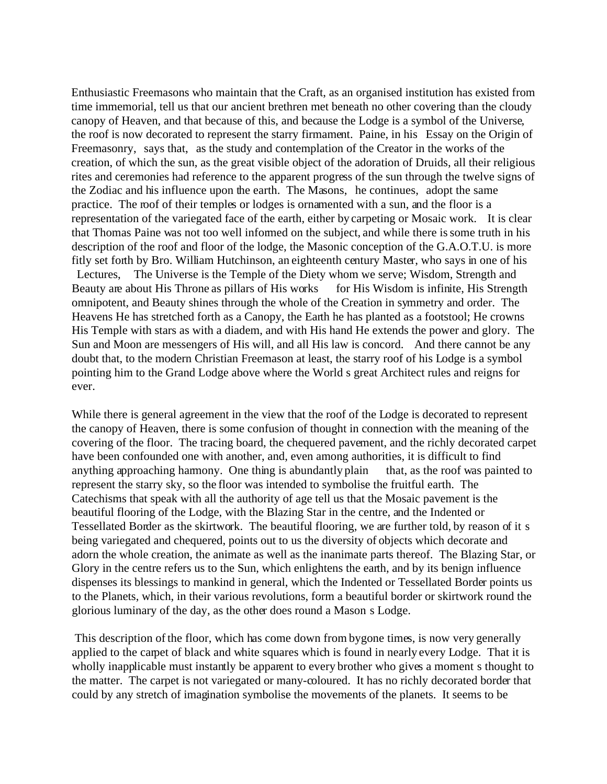Enthusiastic Freemasons who maintain that the Craft, as an organised institution has existed from time immemorial, tell us that our ancient brethren met beneath no other covering than the cloudy canopy of Heaven, and that because of this, and because the Lodge is a symbol of the Universe, the roof is now decorated to represent the starry firmament. Paine, in his Essay on the Origin of Freemasonry, says that, as the study and contemplation of the Creator in the works of the creation, of which the sun, as the great visible object of the adoration of Druids, all their religious rites and ceremonies had reference to the apparent progress of the sun through the twelve signs of the Zodiac and his influence upon the earth. The Masons, he continues, adopt the same practice. The roof of their temples or lodges is ornamented with a sun, and the floor is a representation of the variegated face of the earth, either by carpeting or Mosaic work. It is clear that Thomas Paine was not too well informed on the subject, and while there is some truth in his description of the roof and floor of the lodge, the Masonic conception of the G.A.O.T.U. is more fitly set forth by Bro. William Hutchinson, an eighteenth century Master, who says in one of his Lectures, The Universe is the Temple of the Diety whom we serve; Wisdom, Strength and Beauty are about His Throne as pillars of His works for His Wisdom is infinite, His Strength omnipotent, and Beauty shines through the whole of the Creation in symmetry and order. The Heavens He has stretched forth as a Canopy, the Earth he has planted as a footstool; He crowns His Temple with stars as with a diadem, and with His hand He extends the power and glory. The Sun and Moon are messengers of His will, and all His law is concord. And there cannot be any doubt that, to the modern Christian Freemason at least, the starry roof of his Lodge is a symbol pointing him to the Grand Lodge above where the World s great Architect rules and reigns for ever.

While there is general agreement in the view that the roof of the Lodge is decorated to represent the canopy of Heaven, there is some confusion of thought in connection with the meaning of the covering of the floor. The tracing board, the chequered pavement, and the richly decorated carpet have been confounded one with another, and, even among authorities, it is difficult to find anything approaching harmony. One thing is abundantly plain that, as the roof was painted to represent the starry sky, so the floor was intended to symbolise the fruitful earth. The Catechisms that speak with all the authority of age tell us that the Mosaic pavement is the beautiful flooring of the Lodge, with the Blazing Star in the centre, and the Indented or Tessellated Border as the skirtwork. The beautiful flooring, we are further told, by reason of it s being variegated and chequered, points out to us the diversity of objects which decorate and adorn the whole creation, the animate as well as the inanimate parts thereof. The Blazing Star, or Glory in the centre refers us to the Sun, which enlightens the earth, and by its benign influence dispenses its blessings to mankind in general, which the Indented or Tessellated Border points us to the Planets, which, in their various revolutions, form a beautiful border or skirtwork round the glorious luminary of the day, as the other does round a Mason s Lodge.

 This description of the floor, which has come down from bygone times, is now very generally applied to the carpet of black and white squares which is found in nearly every Lodge. That it is wholly inapplicable must instantly be apparent to every brother who gives a moment s thought to the matter. The carpet is not variegated or many-coloured. It has no richly decorated border that could by any stretch of imagination symbolise the movements of the planets. It seems to be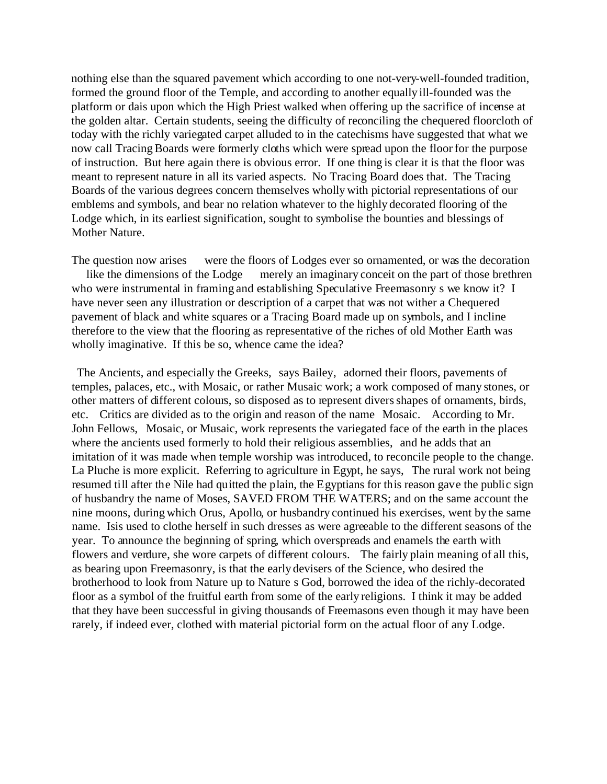nothing else than the squared pavement which according to one not-very-well-founded tradition, formed the ground floor of the Temple, and according to another equally ill-founded was the platform or dais upon which the High Priest walked when offering up the sacrifice of incense at the golden altar. Certain students, seeing the difficulty of reconciling the chequered floorcloth of today with the richly variegated carpet alluded to in the catechisms have suggested that what we now call Tracing Boards were formerly cloths which were spread upon the floor for the purpose of instruction. But here again there is obvious error. If one thing is clear it is that the floor was meant to represent nature in all its varied aspects. No Tracing Board does that. The Tracing Boards of the various degrees concern themselves wholly with pictorial representations of our emblems and symbols, and bear no relation whatever to the highly decorated flooring of the Lodge which, in its earliest signification, sought to symbolise the bounties and blessings of Mother Nature.

The question now arises were the floors of Lodges ever so ornamented, or was the decoration like the dimensions of the Lodge merely an imaginary conceit on the part of those brethren who were instrumental in framing and establishing Speculative Freemasonry s we know it? I have never seen any illustration or description of a carpet that was not wither a Chequered pavement of black and white squares or a Tracing Board made up on symbols, and I incline therefore to the view that the flooring as representative of the riches of old Mother Earth was wholly imaginative. If this be so, whence came the idea?

 The Ancients, and especially the Greeks, says Bailey, adorned their floors, pavements of temples, palaces, etc., with Mosaic, or rather Musaic work; a work composed of many stones, or other matters of different colours, so disposed as to represent divers shapes of ornaments, birds, etc. Critics are divided as to the origin and reason of the name Mosaic. According to Mr. John Fellows, Mosaic, or Musaic, work represents the variegated face of the earth in the places where the ancients used formerly to hold their religious assemblies, and he adds that an imitation of it was made when temple worship was introduced, to reconcile people to the change. La Pluche is more explicit. Referring to agriculture in Egypt, he says, The rural work not being resumed till after the Nile had quitted the plain, the Egyptians for this reason gave the public sign of husbandry the name of Moses, SAVED FROM THE WATERS; and on the same account the nine moons, during which Orus, Apollo, or husbandry continued his exercises, went by the same name. Isis used to clothe herself in such dresses as were agreeable to the different seasons of the year. To announce the beginning of spring, which overspreads and enamels the earth with flowers and verdure, she wore carpets of different colours. The fairly plain meaning of all this, as bearing upon Freemasonry, is that the early devisers of the Science, who desired the brotherhood to look from Nature up to Nature s God, borrowed the idea of the richly-decorated floor as a symbol of the fruitful earth from some of the early religions. I think it may be added that they have been successful in giving thousands of Freemasons even though it may have been rarely, if indeed ever, clothed with material pictorial form on the actual floor of any Lodge.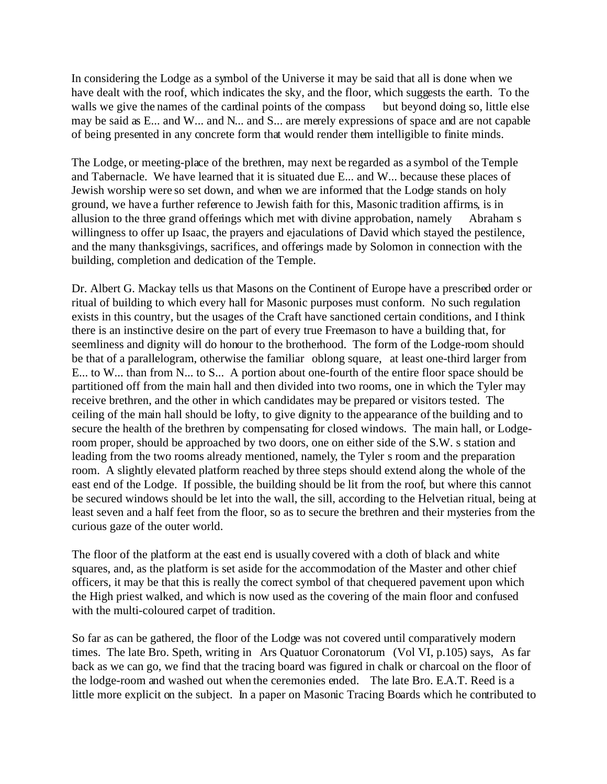In considering the Lodge as a symbol of the Universe it may be said that all is done when we have dealt with the roof, which indicates the sky, and the floor, which suggests the earth. To the walls we give the names of the cardinal points of the compass but beyond doing so, little else may be said as E... and W... and N... and S... are merely expressions of space and are not capable of being presented in any concrete form that would render them intelligible to finite minds.

The Lodge, or meeting-place of the brethren, may next be regarded as a symbol of the Temple and Tabernacle. We have learned that it is situated due E... and W... because these places of Jewish worship were so set down, and when we are informed that the Lodge stands on holy ground, we have a further reference to Jewish faith for this, Masonic tradition affirms, is in allusion to the three grand offerings which met with divine approbation, namely Abraham s willingness to offer up Isaac, the prayers and ejaculations of David which stayed the pestilence, and the many thanksgivings, sacrifices, and offerings made by Solomon in connection with the building, completion and dedication of the Temple.

Dr. Albert G. Mackay tells us that Masons on the Continent of Europe have a prescribed order or ritual of building to which every hall for Masonic purposes must conform. No such regulation exists in this country, but the usages of the Craft have sanctioned certain conditions, and I think there is an instinctive desire on the part of every true Freemason to have a building that, for seemliness and dignity will do honour to the brotherhood. The form of the Lodge-room should be that of a parallelogram, otherwise the familiar oblong square, at least one-third larger from E... to W... than from N... to S... A portion about one-fourth of the entire floor space should be partitioned off from the main hall and then divided into two rooms, one in which the Tyler may receive brethren, and the other in which candidates may be prepared or visitors tested. The ceiling of the main hall should be lofty, to give dignity to the appearance of the building and to secure the health of the brethren by compensating for closed windows. The main hall, or Lodgeroom proper, should be approached by two doors, one on either side of the S.W. s station and leading from the two rooms already mentioned, namely, the Tyler s room and the preparation room. A slightly elevated platform reached by three steps should extend along the whole of the east end of the Lodge. If possible, the building should be lit from the roof, but where this cannot be secured windows should be let into the wall, the sill, according to the Helvetian ritual, being at least seven and a half feet from the floor, so as to secure the brethren and their mysteries from the curious gaze of the outer world.

The floor of the platform at the east end is usually covered with a cloth of black and white squares, and, as the platform is set aside for the accommodation of the Master and other chief officers, it may be that this is really the correct symbol of that chequered pavement upon which the High priest walked, and which is now used as the covering of the main floor and confused with the multi-coloured carpet of tradition.

So far as can be gathered, the floor of the Lodge was not covered until comparatively modern times. The late Bro. Speth, writing in Ars Quatuor Coronatorum (Vol VI, p.105) says, As far back as we can go, we find that the tracing board was figured in chalk or charcoal on the floor of the lodge-room and washed out when the ceremonies ended. The late Bro. E.A.T. Reed is a little more explicit on the subject. In a paper on Masonic Tracing Boards which he contributed to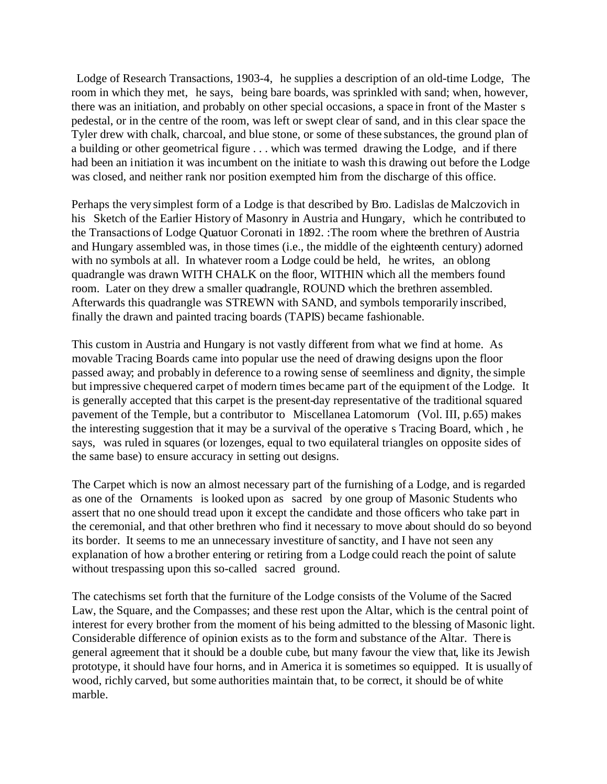Lodge of Research Transactions, 1903-4, he supplies a description of an old-time Lodge, The room in which they met, he says, being bare boards, was sprinkled with sand; when, however, there was an initiation, and probably on other special occasions, a space in front of the Master s pedestal, or in the centre of the room, was left or swept clear of sand, and in this clear space the Tyler drew with chalk, charcoal, and blue stone, or some of these substances, the ground plan of a building or other geometrical figure . . . which was termed drawing the Lodge, and if there had been an initiation it was incumbent on the initiate to wash this drawing out before the Lodge was closed, and neither rank nor position exempted him from the discharge of this office.

Perhaps the very simplest form of a Lodge is that described by Bro. Ladislas de Malczovich in his Sketch of the Earlier History of Masonry in Austria and Hungary, which he contributed to the Transactions of Lodge Quatuor Coronati in 1892. :The room where the brethren of Austria and Hungary assembled was, in those times (i.e., the middle of the eighteenth century) adorned with no symbols at all. In whatever room a Lodge could be held, he writes, an oblong quadrangle was drawn WITH CHALK on the floor, WITHIN which all the members found room. Later on they drew a smaller quadrangle, ROUND which the brethren assembled. Afterwards this quadrangle was STREWN with SAND, and symbols temporarily inscribed, finally the drawn and painted tracing boards (TAPIS) became fashionable.

This custom in Austria and Hungary is not vastly different from what we find at home. As movable Tracing Boards came into popular use the need of drawing designs upon the floor passed away; and probably in deference to a rowing sense of seemliness and dignity, the simple but impressive chequered carpet of modern times became part of the equipment of the Lodge. It is generally accepted that this carpet is the present-day representative of the traditional squared pavement of the Temple, but a contributor to Miscellanea Latomorum (Vol. III, p.65) makes the interesting suggestion that it may be a survival of the operative s Tracing Board, which , he says, was ruled in squares (or lozenges, equal to two equilateral triangles on opposite sides of the same base) to ensure accuracy in setting out designs.

The Carpet which is now an almost necessary part of the furnishing of a Lodge, and is regarded as one of the Ornaments is looked upon as sacred by one group of Masonic Students who assert that no one should tread upon it except the candidate and those officers who take part in the ceremonial, and that other brethren who find it necessary to move about should do so beyond its border. It seems to me an unnecessary investiture of sanctity, and I have not seen any explanation of how a brother entering or retiring from a Lodge could reach the point of salute without trespassing upon this so-called sacred ground.

The catechisms set forth that the furniture of the Lodge consists of the Volume of the Sacred Law, the Square, and the Compasses; and these rest upon the Altar, which is the central point of interest for every brother from the moment of his being admitted to the blessing of Masonic light. Considerable difference of opinion exists as to the form and substance of the Altar. There is general agreement that it should be a double cube, but many favour the view that, like its Jewish prototype, it should have four horns, and in America it is sometimes so equipped. It is usually of wood, richly carved, but some authorities maintain that, to be correct, it should be of white marble.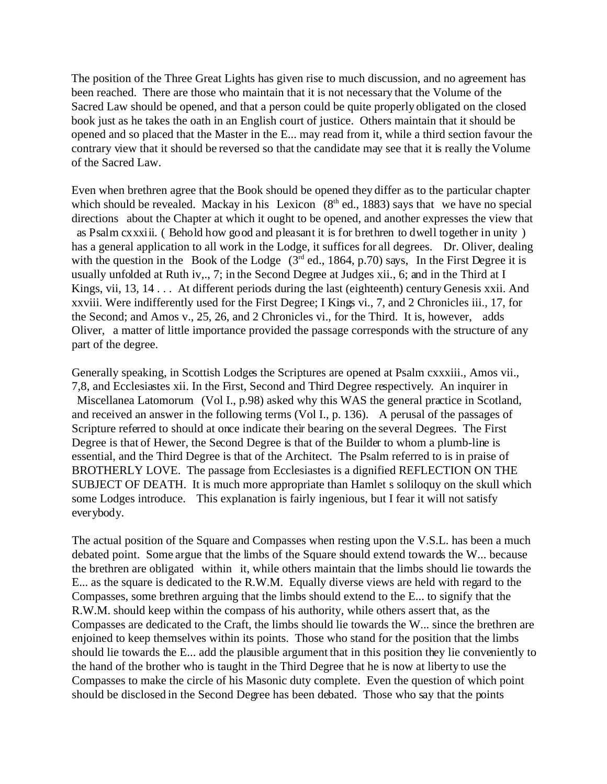The position of the Three Great Lights has given rise to much discussion, and no agreement has been reached. There are those who maintain that it is not necessary that the Volume of the Sacred Law should be opened, and that a person could be quite properly obligated on the closed book just as he takes the oath in an English court of justice. Others maintain that it should be opened and so placed that the Master in the E... may read from it, while a third section favour the contrary view that it should be reversed so that the candidate may see that it is really the Volume of the Sacred Law.

Even when brethren agree that the Book should be opened they differ as to the particular chapter which should be revealed. Mackay in his Lexicon  $(8<sup>th</sup>$  ed., 1883) says that we have no special directions about the Chapter at which it ought to be opened, and another expresses the view that as Psalm cxxxiii. ( Behold how good and pleasant it is for brethren to dwell together in unity ) has a general application to all work in the Lodge, it suffices for all degrees. Dr. Oliver, dealing with the question in the Book of the Lodge  $(3<sup>rd</sup>$  ed., 1864, p.70) says, In the First Degree it is usually unfolded at Ruth iv,., 7; in the Second Degree at Judges xii., 6; and in the Third at I Kings, vii, 13, 14 . . . At different periods during the last (eighteenth) century Genesis xxii. And xxviii. Were indifferently used for the First Degree; I Kings vi., 7, and 2 Chronicles iii., 17, for the Second; and Amos v., 25, 26, and 2 Chronicles vi., for the Third. It is, however, adds Oliver, a matter of little importance provided the passage corresponds with the structure of any part of the degree.

Generally speaking, in Scottish Lodges the Scriptures are opened at Psalm cxxxiii., Amos vii., 7,8, and Ecclesiastes xii. In the First, Second and Third Degree respectively. An inquirer in Miscellanea Latomorum (Vol I., p.98) asked why this WAS the general practice in Scotland, and received an answer in the following terms (Vol I., p. 136). A perusal of the passages of Scripture referred to should at once indicate their bearing on the several Degrees. The First Degree is that of Hewer, the Second Degree is that of the Builder to whom a plumb-line is essential, and the Third Degree is that of the Architect. The Psalm referred to is in praise of BROTHERLY LOVE. The passage from Ecclesiastes is a dignified REFLECTION ON THE SUBJECT OF DEATH. It is much more appropriate than Hamlet s soliloquy on the skull which some Lodges introduce. This explanation is fairly ingenious, but I fear it will not satisfy everybody.

The actual position of the Square and Compasses when resting upon the V.S.L. has been a much debated point. Some argue that the limbs of the Square should extend towards the W... because the brethren are obligated within it, while others maintain that the limbs should lie towards the E... as the square is dedicated to the R.W.M. Equally diverse views are held with regard to the Compasses, some brethren arguing that the limbs should extend to the E... to signify that the R.W.M. should keep within the compass of his authority, while others assert that, as the Compasses are dedicated to the Craft, the limbs should lie towards the W... since the brethren are enjoined to keep themselves within its points. Those who stand for the position that the limbs should lie towards the E... add the plausible argument that in this position they lie conveniently to the hand of the brother who is taught in the Third Degree that he is now at liberty to use the Compasses to make the circle of his Masonic duty complete. Even the question of which point should be disclosed in the Second Degree has been debated. Those who say that the points